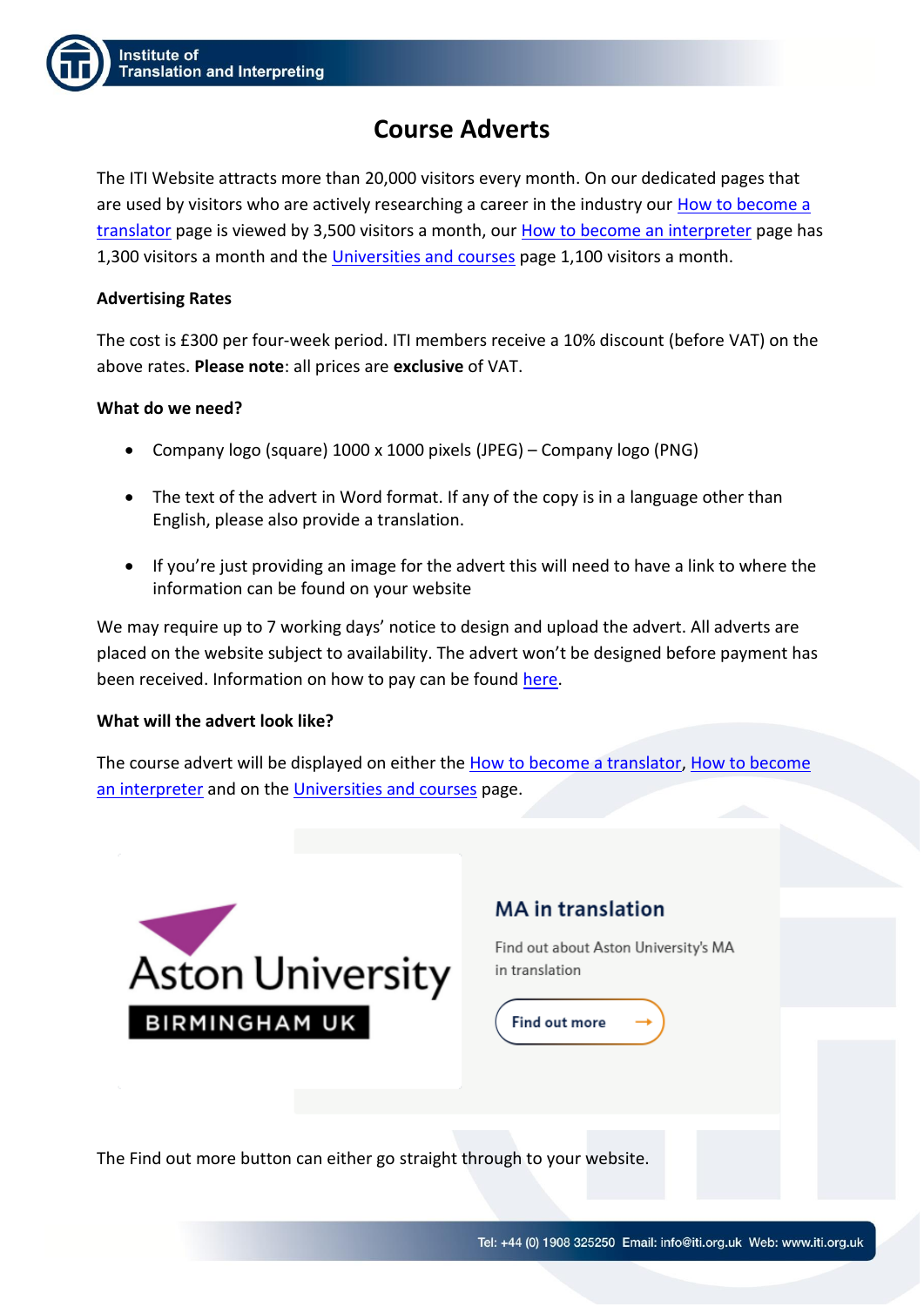# **Course Adverts**

The ITI Website attracts more than 20,000 visitors every month. On our dedicated pages that are used by visitors who are actively researching a career in the industry our [How to become a](https://www.iti.org.uk/discover/career-in-translation-and-interpreting/how-to-become-a-translator.html)  [translator](https://www.iti.org.uk/discover/career-in-translation-and-interpreting/how-to-become-a-translator.html) page is viewed by 3,500 visitors a month, ou[r How to become an interpreter](https://www.iti.org.uk/discover/career-in-translation-and-interpreting/how-to-become-an-interpreter.html) page has 1,300 visitors a month and th[e Universities and courses](https://www.iti.org.uk/discover/career-in-translation-and-interpreting/universities-and-courses.html) page 1,100 visitors a month.

### **Advertising Rates**

The cost is £300 per four-week period. ITI members receive a 10% discount (before VAT) on the above rates. **Please note**: all prices are **exclusive** of VAT.

### **What do we need?**

- Company logo (square) 1000 x 1000 pixels (JPEG) Company logo (PNG)
- The text of the advert in Word format. If any of the copy is in a language other than English, please also provide a translation.
- If you're just providing an image for the advert this will need to have a link to where the information can be found on your website

We may require up to 7 working days' notice to design and upload the advert. All adverts are placed on the website subject to availability. The advert won't be designed before payment has been received. Information on how to pay can be found [here.](https://www.iti.org.uk/resource/how-to-pay.html)

### **What will the advert look like?**

The course advert will be displayed on either the [How to become a translator,](https://www.iti.org.uk/discover/career-in-translation-and-interpreting/how-to-become-a-translator.html) How to become [an interpreter](https://www.iti.org.uk/discover/career-in-translation-and-interpreting/how-to-become-an-interpreter.html) and on the [Universities and courses](https://www.iti.org.uk/discover/career-in-translation-and-interpreting/universities-and-courses.html) page.



## **MA** in translation

Find out about Aston University's MA in translation



The Find out more button can either go straight through to your website.